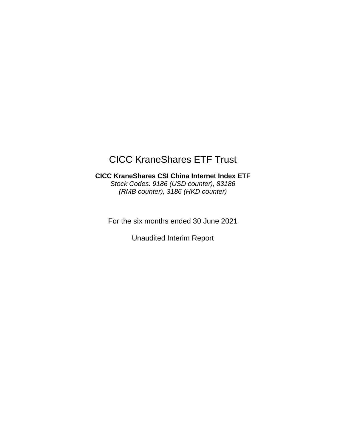# CICC KraneShares ETF Trust

## **CICC KraneShares CSI China Internet Index ETF** *Stock Codes: 9186 (USD counter), 83186 (RMB counter), 3186 (HKD counter)*

For the six months ended 30 June 2021

Unaudited Interim Report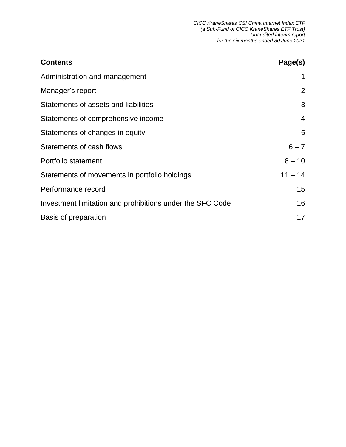| <b>Contents</b>                                           | Page(s)        |
|-----------------------------------------------------------|----------------|
| Administration and management                             |                |
| Manager's report                                          | 2              |
| Statements of assets and liabilities                      | 3              |
| Statements of comprehensive income                        | $\overline{4}$ |
| Statements of changes in equity                           | 5              |
| Statements of cash flows                                  | $6 - 7$        |
| Portfolio statement                                       | $8 - 10$       |
| Statements of movements in portfolio holdings             | $11 - 14$      |
| Performance record                                        | 15             |
| Investment limitation and prohibitions under the SFC Code | 16             |
| Basis of preparation                                      | 17             |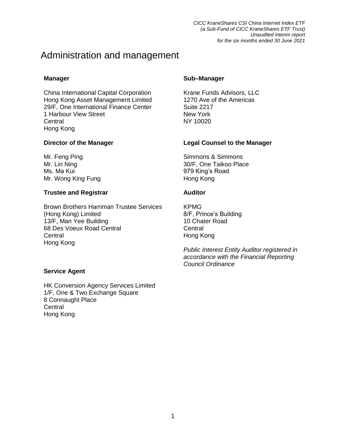## Administration and management

China International Capital Corporation Krane Funds Advisors, LLC Hong Kong Asset Management Limited 1270 Ave of the Americas 29/F, One International Finance Center Suite 2217 1 Harbour View Street New York Central NY 10020 Hong Kong

Ms. Ma Kui 979 King's Road Mr. Wong King Fung **Hong Kong Kong Kong Kong Kong Kong** 

### **Trustee and Registrar Auditor**

Brown Brothers Harriman Trustee Services KPMG (Hong Kong) Limited 8/F, Prince's Building 13/F, Man Yee Building 10 Chater Road 68 Des Voeux Road Central **CENTRA CENTRAL CENTRAL CENTRAL CENTRAL** Central **Hong Kong** Hong Kong

### **Service Agent**

HK Conversion Agency Services Limited 1/F, One & Two Exchange Square 8 Connaught Place **Central** Hong Kong

### **Manager Sub–Manager**

### **Director of the Manager Legal Counsel to the Manager**

Mr. Feng Ping Simmons & Simmons & Simmons Mr. Lin Ning 2000 120 2000 1200 130/F, One Taikoo Place

*Public Interest Entity Auditor registered in accordance with the Financial Reporting Council Ordinance*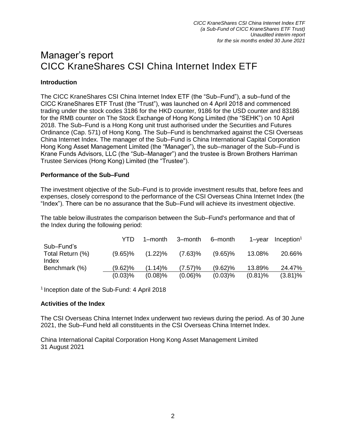## Manager's report CICC KraneShares CSI China Internet Index ETF

## **Introduction**

The CICC KraneShares CSI China Internet Index ETF (the "Sub–Fund"), a sub–fund of the CICC KraneShares ETF Trust (the "Trust"), was launched on 4 April 2018 and commenced trading under the stock codes 3186 for the HKD counter, 9186 for the USD counter and 83186 for the RMB counter on The Stock Exchange of Hong Kong Limited (the "SEHK") on 10 April 2018. The Sub–Fund is a Hong Kong unit trust authorised under the Securities and Futures Ordinance (Cap. 571) of Hong Kong. The Sub–Fund is benchmarked against the CSI Overseas China Internet Index. The manager of the Sub–Fund is China International Capital Corporation Hong Kong Asset Management Limited (the "Manager"), the sub–manager of the Sub–Fund is Krane Funds Advisors, LLC (the "Sub–Manager") and the trustee is Brown Brothers Harriman Trustee Services (Hong Kong) Limited (the "Trustee").

### **Performance of the Sub–Fund**

The investment objective of the Sub–Fund is to provide investment results that, before fees and expenses, closely correspond to the performance of the CSI Overseas China Internet Index (the "Index"). There can be no assurance that the Sub–Fund will achieve its investment objective.

The table below illustrates the comparison between the Sub–Fund's performance and that of the Index during the following period:

|                                         | YTD        | 1–month    | 3–month    | 6-month    | 1–vear     | $Inc$ eption <sup>1</sup> |
|-----------------------------------------|------------|------------|------------|------------|------------|---------------------------|
| Sub-Fund's<br>Total Return (%)<br>Index | $(9.65)\%$ | $(1.22)\%$ | $(7.63)\%$ | $(9.65)\%$ | 13.08%     | 20.66%                    |
| Benchmark (%)                           | $(9.62)\%$ | (1.14)%    | (7.57)%    | $(9.62)\%$ | 13.89%     | 24.47%                    |
|                                         | $(0.03)$ % | $(0.08)\%$ | $(0.06)\%$ | $(0.03)$ % | $(0.81)\%$ | $(3.81)\%$                |

<sup>1</sup> Inception date of the Sub-Fund: 4 April 2018

#### **Activities of the Index**

The CSI Overseas China Internet Index underwent two reviews during the period. As of 30 June 2021, the Sub–Fund held all constituents in the CSI Overseas China Internet Index.

China International Capital Corporation Hong Kong Asset Management Limited 31 August 2021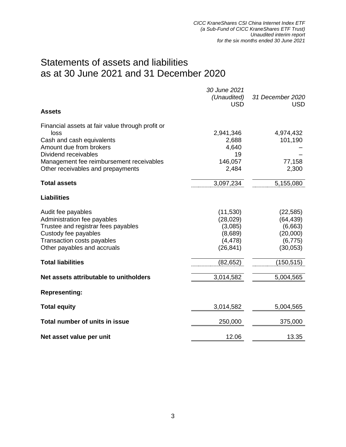## Statements of assets and liabilities as at 30 June 2021 and 31 December 2020

|                                                  | 30 June 2021 |                  |
|--------------------------------------------------|--------------|------------------|
|                                                  | (Unaudited)  | 31 December 2020 |
| <b>Assets</b>                                    | <b>USD</b>   | <b>USD</b>       |
|                                                  |              |                  |
| Financial assets at fair value through profit or |              |                  |
| loss                                             | 2,941,346    | 4,974,432        |
| Cash and cash equivalents                        | 2,688        | 101,190          |
| Amount due from brokers                          | 4,640        |                  |
| Dividend receivables                             | 19           |                  |
| Management fee reimbursement receivables         | 146,057      | 77,158           |
| Other receivables and prepayments                | 2,484        | 2,300            |
| <b>Total assets</b>                              | 3,097,234    | 5,155,080        |
| <b>Liabilities</b>                               |              |                  |
| Audit fee payables                               | (11, 530)    | (22, 585)        |
| Administration fee payables                      | (28, 029)    | (64, 439)        |
| Trustee and registrar fees payables              | (3,085)      | (6,663)          |
| Custody fee payables                             | (8,689)      | (20,000)         |
| Transaction costs payables                       | (4, 478)     | (6, 775)         |
| Other payables and accruals                      | (26, 841)    | (30,053)         |
| <b>Total liabilities</b>                         | (82, 652)    | (150, 515)       |
|                                                  |              |                  |
| Net assets attributable to unitholders           | 3,014,582    | 5,004,565        |
| <b>Representing:</b>                             |              |                  |
| <b>Total equity</b>                              | 3,014,582    | 5,004,565        |
| Total number of units in issue                   | 250,000      | 375,000          |
| Net asset value per unit                         | 12.06        | 13.35            |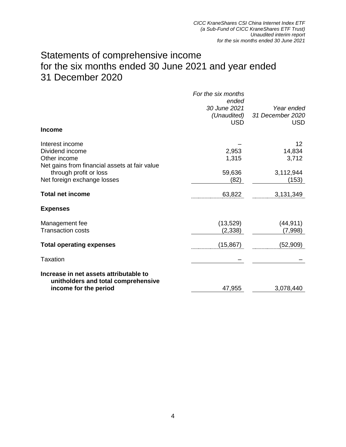## Statements of comprehensive income for the six months ended 30 June 2021 and year ended 31 December 2020

|                                                                               | For the six months<br>ended               |                                       |
|-------------------------------------------------------------------------------|-------------------------------------------|---------------------------------------|
|                                                                               | 30 June 2021<br>(Unaudited)<br><b>USD</b> | Year ended<br>31 December 2020<br>USD |
| <b>Income</b>                                                                 |                                           |                                       |
| Interest income<br>Dividend income                                            | 2,953                                     | 12<br>14,834                          |
| Other income<br>Net gains from financial assets at fair value                 | 1,315                                     | 3,712                                 |
| through profit or loss<br>Net foreign exchange losses                         | 59,636<br>(82)                            | 3,112,944<br>(153)                    |
| <b>Total net income</b>                                                       | 63,822                                    | 3,131,349                             |
| <b>Expenses</b>                                                               |                                           |                                       |
| Management fee<br><b>Transaction costs</b>                                    | (13, 529)<br>(2, 338)                     | (44, 911)<br>(7,998)                  |
| <b>Total operating expenses</b>                                               | (15,867)                                  | (52, 909)                             |
| Taxation                                                                      |                                           |                                       |
| Increase in net assets attributable to<br>unitholders and total comprehensive |                                           |                                       |
| income for the period                                                         | 47,955                                    | 3,078,440                             |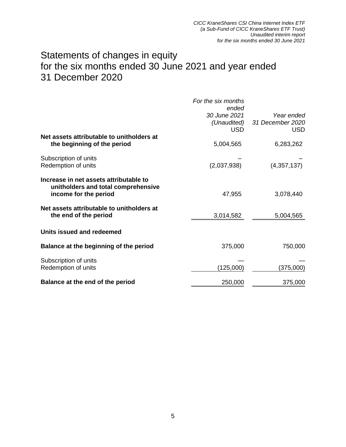## Statements of changes in equity for the six months ended 30 June 2021 and year ended 31 December 2020

|                                                                                                        | For the six months<br>ended<br>30 June 2021<br>(Unaudited)<br><b>USD</b> | Year ended<br>31 December 2020<br><b>USD</b> |
|--------------------------------------------------------------------------------------------------------|--------------------------------------------------------------------------|----------------------------------------------|
| Net assets attributable to unitholders at<br>the beginning of the period                               | 5,004,565                                                                | 6,283,262                                    |
| Subscription of units<br>Redemption of units                                                           | (2,037,938)                                                              | (4,357,137)                                  |
| Increase in net assets attributable to<br>unitholders and total comprehensive<br>income for the period | 47,955                                                                   | 3,078,440                                    |
| Net assets attributable to unitholders at<br>the end of the period                                     | 3,014,582                                                                | 5,004,565                                    |
| Units issued and redeemed                                                                              |                                                                          |                                              |
| Balance at the beginning of the period                                                                 | 375,000                                                                  | 750,000                                      |
| Subscription of units<br>Redemption of units                                                           | (125,000)                                                                | (375,000)                                    |
| Balance at the end of the period                                                                       | 250,000                                                                  | 375,000                                      |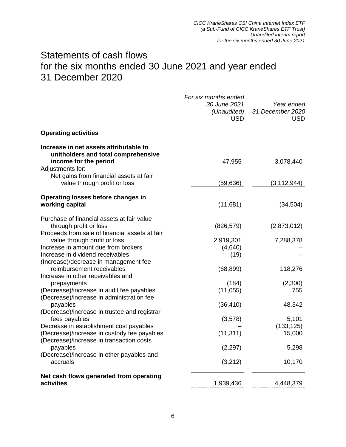## Statements of cash flows for the six months ended 30 June 2021 and year ended 31 December 2020

|                                                                                                                            | For six months ended<br>30 June 2021<br>(Unaudited)<br><b>USD</b> | Year ended<br>31 December 2020<br><b>USD</b> |
|----------------------------------------------------------------------------------------------------------------------------|-------------------------------------------------------------------|----------------------------------------------|
| <b>Operating activities</b>                                                                                                |                                                                   |                                              |
| Increase in net assets attributable to<br>unitholders and total comprehensive<br>income for the period<br>Adjustments for: | 47,955                                                            | 3,078,440                                    |
| Net gains from financial assets at fair<br>value through profit or loss                                                    | (59,636)                                                          | (3, 112, 944)                                |
| Operating losses before changes in<br>working capital                                                                      | (11,681)                                                          | (34, 504)                                    |
| Purchase of financial assets at fair value<br>through profit or loss<br>Proceeds from sale of financial assets at fair     | (826, 579)                                                        | (2,873,012)                                  |
| value through profit or loss                                                                                               | 2,919,301                                                         | 7,288,378                                    |
| Increase in amount due from brokers                                                                                        | (4,640)                                                           |                                              |
| Increase in dividend receivables                                                                                           | (19)                                                              |                                              |
| (Increase)/decrease in management fee                                                                                      |                                                                   |                                              |
| reimbursement receivables                                                                                                  | (68, 899)                                                         | 118,276                                      |
| Increase in other receivables and                                                                                          | (184)                                                             |                                              |
| prepayments<br>(Decrease)/increase in audit fee payables                                                                   | (11, 055)                                                         | (2,300)<br>755                               |
| (Decrease)/increase in administration fee                                                                                  |                                                                   |                                              |
| payables                                                                                                                   | (36, 410)                                                         | 48,342                                       |
| (Decrease)/increase in trustee and registrar                                                                               |                                                                   |                                              |
| fees payables                                                                                                              | (3,578)                                                           | 5,101                                        |
| Decrease in establishment cost payables                                                                                    |                                                                   | (133, 125)                                   |
| (Decrease)/increase in custody fee payables                                                                                | (11, 311)                                                         | 15,000                                       |
| (Decrease)/increase in transaction costs                                                                                   |                                                                   |                                              |
| payables<br>(Decrease)/increase in other payables and                                                                      | (2, 297)                                                          | 5,298                                        |
| accruals                                                                                                                   | (3,212)                                                           | 10,170                                       |
| Net cash flows generated from operating<br>activities                                                                      |                                                                   |                                              |
|                                                                                                                            | 1,939,436                                                         | 4,448,379                                    |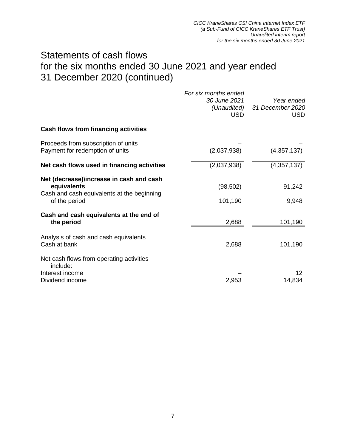## Statements of cash flows for the six months ended 30 June 2021 and year ended 31 December 2020 (continued)

|                                                                                                                        | For six months ended<br><i>30 June 2021</i><br>(Unaudited)<br><b>USD</b> | Year ended<br>31 December 2020<br>USD. |
|------------------------------------------------------------------------------------------------------------------------|--------------------------------------------------------------------------|----------------------------------------|
| Cash flows from financing activities                                                                                   |                                                                          |                                        |
| Proceeds from subscription of units<br>Payment for redemption of units                                                 | (2,037,938)                                                              | (4,357,137)                            |
| Net cash flows used in financing activities                                                                            | (2,037,938)                                                              | (4,357,137)                            |
| Net (decrease)\increase in cash and cash<br>equivalents<br>Cash and cash equivalents at the beginning<br>of the period | (98, 502)<br>101,190                                                     | 91,242<br>9,948                        |
| Cash and cash equivalents at the end of<br>the period                                                                  | 2,688                                                                    | 101,190                                |
| Analysis of cash and cash equivalents<br>Cash at bank                                                                  | 2,688                                                                    | 101,190                                |
| Net cash flows from operating activities<br>include:<br>Interest income<br>Dividend income                             | 2,953                                                                    | 12<br>14,834                           |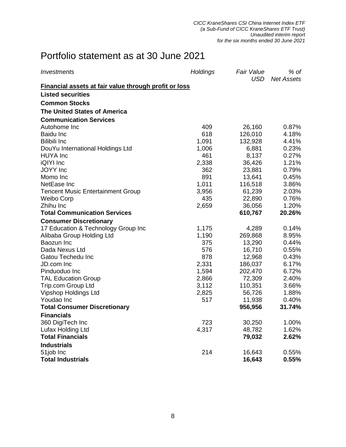# Portfolio statement as at 30 June 2021

| Investments                                                  | <b>Holdings</b> | <b>Fair Value</b><br><b>USD</b> | % of<br><b>Net Assets</b> |
|--------------------------------------------------------------|-----------------|---------------------------------|---------------------------|
| <b>Financial assets at fair value through profit or loss</b> |                 |                                 |                           |
| <b>Listed securities</b>                                     |                 |                                 |                           |
| <b>Common Stocks</b>                                         |                 |                                 |                           |
| <b>The United States of America</b>                          |                 |                                 |                           |
| <b>Communication Services</b>                                |                 |                                 |                           |
| Autohome Inc                                                 | 409             | 26,160                          | 0.87%                     |
| <b>Baidu Inc</b>                                             | 618             | 126,010                         | 4.18%                     |
| <b>Bilibili Inc</b>                                          | 1,091           | 132,928                         | 4.41%                     |
| DouYu International Holdings Ltd                             | 1,006           | 6,881                           | 0.23%                     |
| <b>HUYA</b> Inc                                              | 461             | 8,137                           | 0.27%                     |
| iQIYI Inc                                                    | 2,338           | 36,426                          | 1.21%                     |
| <b>JOYY</b> Inc                                              | 362             | 23,881                          | 0.79%                     |
| Momo Inc                                                     | 891             | 13,641                          | 0.45%                     |
| NetEase Inc                                                  | 1,011           | 116,518                         | 3.86%                     |
| <b>Tencent Music Entertainment Group</b>                     | 3,956           | 61,239                          | 2.03%                     |
| Weibo Corp                                                   | 435             | 22,890                          | 0.76%                     |
| Zhihu Inc                                                    | 2,659           | 36,056                          | 1.20%                     |
| <b>Total Communication Services</b>                          |                 | 610,767                         | 20.26%                    |
| <b>Consumer Discretionary</b>                                |                 |                                 |                           |
| 17 Education & Technology Group Inc                          | 1,175           | 4,289                           | 0.14%                     |
| Alibaba Group Holding Ltd                                    | 1,190           | 269,868                         | 8.95%                     |
| Baozun Inc                                                   | 375             | 13,290                          | 0.44%                     |
| Dada Nexus Ltd                                               | 576             | 16,710                          | 0.55%                     |
| Gatou Techedu Inc                                            | 878             | 12,968                          | 0.43%                     |
| JD.com Inc                                                   | 2,331           | 186,037                         | 6.17%                     |
| Pinduoduo Inc                                                | 1,594           | 202,470                         | 6.72%                     |
| <b>TAL Education Group</b>                                   | 2,866           | 72,309                          | 2.40%                     |
| Trip.com Group Ltd                                           | 3,112           | 110,351                         | 3.66%                     |
| <b>Vipshop Holdings Ltd</b>                                  | 2,825           | 56,726                          | 1.88%                     |
| Youdao Inc                                                   | 517             | 11,938                          | 0.40%                     |
| <b>Total Consumer Discretionary</b>                          |                 | 956,956                         | 31.74%                    |
| <b>Financials</b>                                            |                 |                                 |                           |
| 360 DigiTech Inc                                             | 723             | 30,250                          | 1.00%                     |
| Lufax Holding Ltd                                            | 4,317           | 48,782                          | 1.62%                     |
| <b>Total Financials</b>                                      |                 | 79,032                          | 2.62%                     |
| <b>Industrials</b>                                           |                 |                                 |                           |
| 51job Inc                                                    | 214             | 16,643                          | 0.55%                     |
| <b>Total Industrials</b>                                     |                 | 16,643                          | 0.55%                     |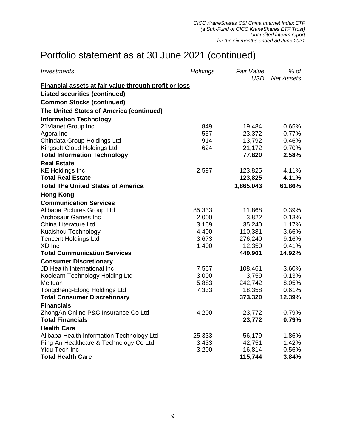# Portfolio statement as at 30 June 2021 (continued)

| Investments                                           | Holdings | <b>Fair Value</b><br>USD | $%$ of<br><b>Net Assets</b> |
|-------------------------------------------------------|----------|--------------------------|-----------------------------|
| Financial assets at fair value through profit or loss |          |                          |                             |
| <b>Listed securities (continued)</b>                  |          |                          |                             |
| <b>Common Stocks (continued)</b>                      |          |                          |                             |
| The United States of America (continued)              |          |                          |                             |
| <b>Information Technology</b>                         |          |                          |                             |
| 21 Vianet Group Inc                                   | 849      | 19,484                   | 0.65%                       |
| Agora Inc                                             | 557      | 23,372                   | 0.77%                       |
| Chindata Group Holdings Ltd                           | 914      | 13,792                   | 0.46%                       |
| Kingsoft Cloud Holdings Ltd                           | 624      | 21,172                   | 0.70%                       |
| <b>Total Information Technology</b>                   |          | 77,820                   | 2.58%                       |
| <b>Real Estate</b>                                    |          |                          |                             |
| <b>KE Holdings Inc</b>                                | 2,597    | 123,825                  | 4.11%                       |
| <b>Total Real Estate</b>                              |          | 123,825                  | 4.11%                       |
| <b>Total The United States of America</b>             |          | 1,865,043                | 61.86%                      |
| <b>Hong Kong</b>                                      |          |                          |                             |
| <b>Communication Services</b>                         |          |                          |                             |
| Alibaba Pictures Group Ltd                            | 85,333   | 11,868                   | 0.39%                       |
| <b>Archosaur Games Inc</b>                            | 2,000    | 3,822                    | 0.13%                       |
| China Literature Ltd                                  | 3,169    | 35,240                   | 1.17%                       |
| Kuaishou Technology                                   | 4,400    | 110,381                  | 3.66%                       |
| <b>Tencent Holdings Ltd</b>                           | 3,673    | 276,240                  | 9.16%                       |
| XD Inc                                                | 1,400    | 12,350                   | 0.41%                       |
| <b>Total Communication Services</b>                   |          | 449,901                  | 14.92%                      |
| <b>Consumer Discretionary</b>                         |          |                          |                             |
| JD Health International Inc                           | 7,567    | 108,461                  | 3.60%                       |
| Koolearn Technology Holding Ltd                       | 3,000    | 3,759                    | 0.13%                       |
| Meituan                                               | 5,883    | 242,742                  | 8.05%                       |
| Tongcheng-Elong Holdings Ltd                          | 7,333    | 18,358                   | 0.61%                       |
| <b>Total Consumer Discretionary</b>                   |          | 373,320                  | 12.39%                      |
| <b>Financials</b>                                     |          |                          |                             |
| ZhongAn Online P&C Insurance Co Ltd                   | 4,200    | 23,772                   | 0.79%                       |
| <b>Total Financials</b>                               |          | 23,772                   | 0.79%                       |
| <b>Health Care</b>                                    |          |                          |                             |
| Alibaba Health Information Technology Ltd             | 25,333   | 56,179                   | 1.86%                       |
| Ping An Healthcare & Technology Co Ltd                | 3,433    | 42,751                   | 1.42%                       |
| <b>Yidu Tech Inc</b>                                  | 3,200    | 16,814                   | 0.56%                       |
| <b>Total Health Care</b>                              |          | 115,744                  | 3.84%                       |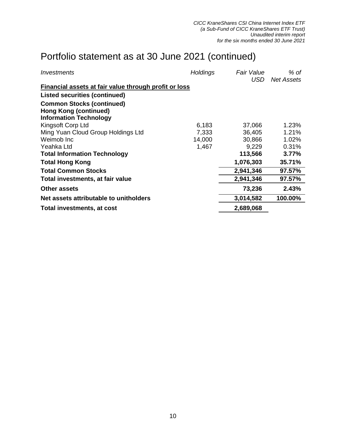# Portfolio statement as at 30 June 2021 (continued)

| Investments                                           | <b>Holdings</b> | <b>Fair Value</b> | % of       |
|-------------------------------------------------------|-----------------|-------------------|------------|
|                                                       |                 | USD               | Net Assets |
| Financial assets at fair value through profit or loss |                 |                   |            |
| <b>Listed securities (continued)</b>                  |                 |                   |            |
| <b>Common Stocks (continued)</b>                      |                 |                   |            |
| <b>Hong Kong (continued)</b>                          |                 |                   |            |
| <b>Information Technology</b>                         |                 |                   |            |
| Kingsoft Corp Ltd                                     | 6,183           | 37,066            | 1.23%      |
| Ming Yuan Cloud Group Holdings Ltd                    | 7,333           | 36,405            | 1.21%      |
| Weimob Inc.                                           | 14,000          | 30,866            | 1.02%      |
| Yeahka Ltd                                            | 1,467           | 9,229             | 0.31%      |
| <b>Total Information Technology</b>                   |                 | 113,566           | 3.77%      |
| <b>Total Hong Kong</b>                                |                 | 1,076,303         | 35.71%     |
| <b>Total Common Stocks</b>                            |                 | 2,941,346         | 97.57%     |
| Total investments, at fair value                      |                 | 2,941,346         | 97.57%     |
| <b>Other assets</b>                                   |                 | 73,236            | 2.43%      |
| Net assets attributable to unitholders                |                 | 3,014,582         | 100.00%    |
| Total investments, at cost                            |                 | 2,689,068         |            |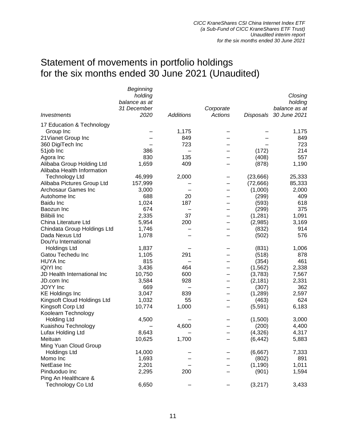# Statement of movements in portfolio holdings for the six months ended 30 June 2021 (Unaudited)

|                             | Beginning     |                  |           |           |               |
|-----------------------------|---------------|------------------|-----------|-----------|---------------|
|                             | holding       |                  |           |           | Closing       |
|                             | balance as at |                  |           |           | holding       |
|                             | 31 December   |                  | Corporate |           | balance as at |
| Investments                 | 2020          | <b>Additions</b> | Actions   | Disposals | 30 June 2021  |
| 17 Education & Technology   |               |                  |           |           |               |
| Group Inc                   |               | 1,175            |           |           | 1,175         |
| 21 Vianet Group Inc         |               | 849              |           |           | 849           |
| 360 DigiTech Inc            |               | 723              |           |           | 723           |
| 51job Inc                   | 386           |                  |           | (172)     | 214           |
| Agora Inc                   | 830           | 135              |           | (408)     | 557           |
| Alibaba Group Holding Ltd   | 1,659         | 409              |           | (878)     | 1,190         |
| Alibaba Health Information  |               |                  |           |           |               |
|                             |               |                  |           |           |               |
| <b>Technology Ltd</b>       | 46,999        | 2,000            |           | (23,666)  | 25,333        |
| Alibaba Pictures Group Ltd  | 157,999       |                  |           | (72,666)  | 85,333        |
| Archosaur Games Inc         | 3,000         |                  |           | (1,000)   | 2,000         |
| Autohome Inc                | 688           | 20               |           | (299)     | 409           |
| <b>Baidu Inc</b>            | 1,024         | 187              |           | (593)     | 618           |
| Baozun Inc                  | 674           |                  |           | (299)     | 375           |
| <b>Bilibili Inc</b>         | 2,335         | 37               |           | (1,281)   | 1,091         |
| China Literature Ltd        | 5,954         | 200              |           | (2,985)   | 3,169         |
| Chindata Group Holdings Ltd | 1,746         |                  |           | (832)     | 914           |
| Dada Nexus Ltd              | 1,078         |                  |           | (502)     | 576           |
| DouYu International         |               |                  |           |           |               |
| <b>Holdings Ltd</b>         | 1,837         |                  |           | (831)     | 1,006         |
| Gatou Techedu Inc           | 1,105         | 291              |           | (518)     | 878           |
| <b>HUYA</b> Inc             | 815           |                  |           | (354)     | 461           |
| iQIYI Inc                   | 3,436         | 464              |           | (1, 562)  | 2,338         |
| JD Health International Inc | 10,750        | 600              |           | (3,783)   | 7,567         |
| JD.com Inc                  | 3,584         | 928              |           | (2, 181)  | 2,331         |
| JOYY Inc                    | 669           |                  |           | (307)     | 362           |
| <b>KE Holdings Inc</b>      | 3,047         | 839              |           | (1,289)   | 2,597         |
| Kingsoft Cloud Holdings Ltd | 1,032         | 55               |           | (463)     | 624           |
| Kingsoft Corp Ltd           | 10,774        | 1,000            |           | (5,591)   | 6,183         |
| Koolearn Technology         |               |                  |           |           |               |
| <b>Holding Ltd</b>          | 4,500         |                  |           | (1,500)   | 3,000         |
| Kuaishou Technology         |               |                  |           | (200)     |               |
|                             |               | 4,600            |           |           | 4,400         |
| Lufax Holding Ltd           | 8,643         |                  |           | (4,326)   | 4,317         |
| Meituan                     | 10,625        | 1,700            |           | (6, 442)  | 5,883         |
| Ming Yuan Cloud Group       |               |                  |           |           |               |
| <b>Holdings Ltd</b>         | 14,000        |                  |           | (6,667)   | 7,333         |
| Momo Inc                    | 1,693         |                  |           | (802)     | 891           |
| NetEase Inc                 | 2,201         |                  |           | (1, 190)  | 1,011         |
| Pinduoduo Inc               | 2,295         | 200              |           | (901)     | 1,594         |
| Ping An Healthcare &        |               |                  |           |           |               |
| <b>Technology Co Ltd</b>    | 6,650         |                  |           | (3,217)   | 3,433         |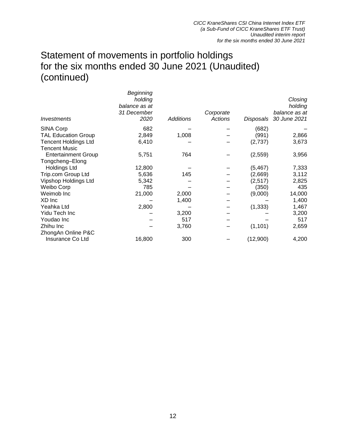## Statement of movements in portfolio holdings for the six months ended 30 June 2021 (Unaudited) (continued)

| Investments                 | Beginning<br>holding<br>balance as at<br>31 December<br>2020 | <b>Additions</b> | Corporate<br><b>Actions</b> | Disposals | Closing<br>holding<br>balance as at<br>30 June 2021 |
|-----------------------------|--------------------------------------------------------------|------------------|-----------------------------|-----------|-----------------------------------------------------|
| <b>SINA Corp</b>            | 682                                                          |                  |                             | (682)     |                                                     |
| <b>TAL Education Group</b>  | 2,849                                                        | 1,008            |                             | (991)     | 2,866                                               |
| <b>Tencent Holdings Ltd</b> | 6,410                                                        |                  |                             | (2,737)   | 3,673                                               |
| <b>Tencent Music</b>        |                                                              |                  |                             |           |                                                     |
| <b>Entertainment Group</b>  | 5,751                                                        | 764              |                             | (2,559)   | 3,956                                               |
| Tongcheng-Elong             |                                                              |                  |                             |           |                                                     |
| <b>Holdings Ltd</b>         | 12,800                                                       |                  |                             | (5, 467)  | 7,333                                               |
| Trip.com Group Ltd          | 5,636                                                        | 145              |                             | (2,669)   | 3,112                                               |
| Vipshop Holdings Ltd        | 5,342                                                        |                  |                             | (2,517)   | 2,825                                               |
| Weibo Corp                  | 785                                                          |                  |                             | (350)     | 435                                                 |
| Weimob Inc                  | 21,000                                                       | 2,000            |                             | (9,000)   | 14,000                                              |
| XD Inc                      |                                                              | 1,400            |                             |           | 1,400                                               |
| Yeahka Ltd                  | 2,800                                                        |                  |                             | (1, 333)  | 1,467                                               |
| Yidu Tech Inc               |                                                              | 3,200            |                             |           | 3,200                                               |
| Youdao Inc                  |                                                              | 517              |                             |           | 517                                                 |
| Zhihu Inc                   |                                                              | 3,760            |                             | (1, 101)  | 2,659                                               |
| ZhongAn Online P&C          |                                                              |                  |                             |           |                                                     |
| Insurance Co Ltd            | 16,800                                                       | 300              |                             | (12,900)  | 4,200                                               |
|                             |                                                              |                  |                             |           |                                                     |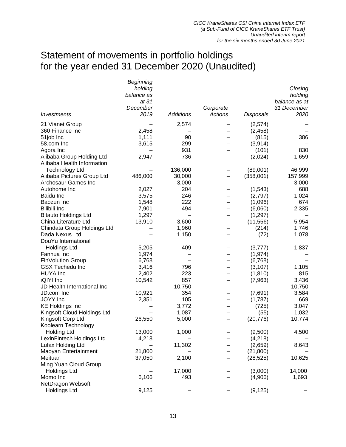# Statement of movements in portfolio holdings for the year ended 31 December 2020 (Unaudited)

|                             | Beginning  |                  |           |                  |               |
|-----------------------------|------------|------------------|-----------|------------------|---------------|
|                             | holding    |                  |           |                  | Closing       |
|                             | balance as |                  |           |                  | holding       |
|                             | at 31      |                  |           |                  | balance as at |
|                             | December   |                  | Corporate |                  | 31 December   |
| Investments                 | 2019       | <b>Additions</b> | Actions   | <b>Disposals</b> | 2020          |
| 21 Vianet Group             |            | 2,574            |           | (2,574)          |               |
| 360 Finance Inc             | 2,458      |                  |           | (2, 458)         |               |
| 51job Inc                   | 1,111      | 90               |           | (815)            | 386           |
| 58.com Inc                  | 3,615      | 299              |           | (3,914)          |               |
| Agora Inc                   |            | 931              |           | (101)            | 830           |
| Alibaba Group Holding Ltd   | 2,947      | 736              |           | (2,024)          | 1,659         |
| Alibaba Health Information  |            |                  |           |                  |               |
| <b>Technology Ltd</b>       |            | 136,000          |           | (89,001)         | 46,999        |
| Alibaba Pictures Group Ltd  | 486,000    | 30,000           | —         | (358,001)        | 157,999       |
| Archosaur Games Inc         |            | 3,000            |           |                  | 3,000         |
| Autohome Inc                | 2,027      | 204              |           | (1, 543)         | 688           |
| Baidu Inc                   | 3,575      | 246              |           | (2,797)          | 1,024         |
| Baozun Inc                  | 1,548      | 222              |           | (1,096)          | 674           |
| <b>Bilibili Inc</b>         | 7,901      | 494              |           | (6,060)          | 2,335         |
| <b>Bitauto Holdings Ltd</b> | 1,297      |                  |           | (1, 297)         |               |
| China Literature Ltd        | 13,910     | 3,600            |           | (11, 556)        | 5,954         |
| Chindata Group Holdings Ltd |            | 1,960            |           | (214)            | 1,746         |
| Dada Nexus Ltd              |            | 1,150            |           | (72)             | 1,078         |
| DouYu International         |            |                  |           |                  |               |
| <b>Holdings Ltd</b>         | 5,205      | 409              |           | (3,777)          | 1,837         |
| Fanhua Inc                  | 1,974      |                  |           | (1, 974)         |               |
| FinVolution Group           | 6,768      |                  |           | (6,768)          |               |
| <b>GSX Techedu Inc</b>      | 3,416      | 796              |           | (3, 107)         | 1,105         |
| <b>HUYA</b> Inc             | 2,402      | 223              |           | (1, 810)         | 815           |
| iQIYI Inc                   | 10,542     | 857              |           | (7,963)          | 3,436         |
| JD Health International Inc |            | 10,750           |           |                  | 10,750        |
| JD.com Inc                  | 10,921     | 354              |           | (7,691)          | 3,584         |
| JOYY Inc                    | 2,351      | 105              |           | (1,787)          | 669           |
| <b>KE Holdings Inc</b>      |            | 3,772            |           | (725)            | 3,047         |
| Kingsoft Cloud Holdings Ltd |            | 1,087            |           | (55)             | 1,032         |
| Kingsoft Corp Ltd           | 26,550     | 5,000            |           | (20, 776)        | 10,774        |
| Koolearn Technology         |            |                  |           |                  |               |
| Holding Ltd                 | 13,000     | 1,000            |           | (9,500)          | 4,500         |
| LexinFintech Holdings Ltd   | 4,218      |                  |           | (4, 218)         |               |
| Lufax Holding Ltd           |            | 11,302           |           | (2,659)          | 8,643         |
| Maoyan Entertainment        | 21,800     |                  |           | (21, 800)        |               |
| Meituan                     | 37,050     | 2,100            |           | (28, 525)        | 10,625        |
| Ming Yuan Cloud Group       |            |                  |           |                  |               |
| <b>Holdings Ltd</b>         |            | 17,000           |           | (3,000)          | 14,000        |
| Momo Inc                    | 6,106      | 493              |           | (4,906)          | 1,693         |
| NetDragon Websoft           |            |                  |           |                  |               |
| <b>Holdings Ltd</b>         | 9,125      |                  |           | (9, 125)         |               |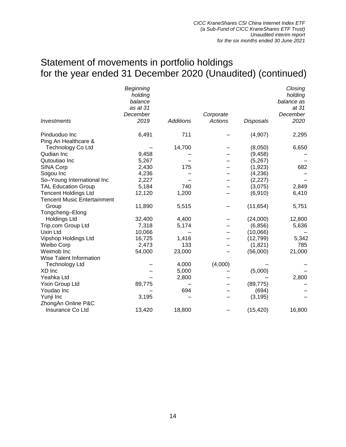## Statement of movements in portfolio holdings for the year ended 31 December 2020 (Unaudited) (continued)

| <b>Investments</b>                 | Beginning<br>holding<br>balance<br>as at 31<br>December<br>2019 | <b>Additions</b> | Corporate<br>Actions | <b>Disposals</b> | Closing<br>holding<br>balance as<br>at 31<br>December<br>2020 |
|------------------------------------|-----------------------------------------------------------------|------------------|----------------------|------------------|---------------------------------------------------------------|
| Pinduoduo Inc                      | 6,491                                                           | 711              |                      | (4,907)          | 2,295                                                         |
| Ping An Healthcare &               |                                                                 |                  |                      |                  |                                                               |
| <b>Technology Co Ltd</b>           |                                                                 | 14,700           |                      | (8,050)          | 6,650                                                         |
| Qudian Inc                         | 9,458                                                           |                  |                      | (9, 458)         |                                                               |
| Qutoutiao Inc                      | 5,267                                                           |                  |                      | (5,267)          |                                                               |
| <b>SINA Corp</b>                   | 2,430                                                           | 175              |                      | (1,923)          | 682                                                           |
| Sogou Inc                          | 4,236                                                           |                  |                      | (4,236)          |                                                               |
| So-Young International Inc         | 2,227                                                           |                  |                      | (2,227)          |                                                               |
| <b>TAL Education Group</b>         | 5,184                                                           | 740              |                      | (3,075)          | 2,849                                                         |
| <b>Tencent Holdings Ltd</b>        | 12,120                                                          | 1,200            |                      | (6,910)          | 6,410                                                         |
| <b>Tencent Music Entertainment</b> |                                                                 |                  |                      |                  |                                                               |
| Group                              | 11,890                                                          | 5,515            |                      | (11, 654)        | 5,751                                                         |
| Tongcheng-Elong                    |                                                                 |                  |                      |                  |                                                               |
| <b>Holdings Ltd</b>                | 32,400                                                          | 4,400            |                      | (24,000)         | 12,800                                                        |
| Trip.com Group Ltd                 | 7,318                                                           | 5,174            |                      | (6, 856)         | 5,636                                                         |
| Uxin Ltd                           | 10,066                                                          |                  |                      | (10,066)         |                                                               |
| Vipshop Holdings Ltd               | 16,725                                                          | 1,416            |                      | (12, 799)        | 5,342                                                         |
| Weibo Corp                         | 2,473                                                           | 133              |                      | (1,821)          | 785                                                           |
| Weimob Inc                         | 54,000                                                          | 23,000           |                      | (56,000)         | 21,000                                                        |
| Wise Talent Information            |                                                                 |                  |                      |                  |                                                               |
| <b>Technology Ltd</b>              |                                                                 | 4,000            | (4,000)              |                  |                                                               |
| XD Inc                             |                                                                 | 5,000            |                      | (5,000)          |                                                               |
| Yeahka Ltd                         |                                                                 | 2,800            |                      |                  | 2,800                                                         |
| Yixin Group Ltd                    | 89,775                                                          |                  |                      | (89, 775)        |                                                               |
| Youdao Inc                         |                                                                 | 694              |                      | (694)            |                                                               |
| Yunji Inc                          | 3,195                                                           |                  |                      | (3, 195)         |                                                               |
| ZhongAn Online P&C                 |                                                                 |                  |                      |                  |                                                               |
| Insurance Co Ltd                   | 13,420                                                          | 18,800           |                      | (15, 420)        | 16,800                                                        |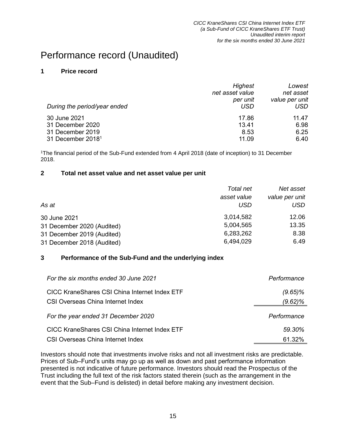## Performance record (Unaudited)

### **1 Price record**

| During the period/year ended  | <b>Highest</b><br>net asset value<br>per unit<br>USD | Lowest<br>net asset<br>value per unit<br>USD |
|-------------------------------|------------------------------------------------------|----------------------------------------------|
| 30 June 2021                  | 17.86                                                | 11.47                                        |
| 31 December 2020              | 13.41                                                | 6.98                                         |
| 31 December 2019              | 8.53                                                 | 6.25                                         |
| 31 December 2018 <sup>1</sup> | 11.09                                                | 6.40                                         |

<sup>1</sup>The financial period of the Sub-Fund extended from 4 April 2018 (date of inception) to 31 December 2018.

### **2 Total net asset value and net asset value per unit**

|                            | Total net   | Net asset      |
|----------------------------|-------------|----------------|
|                            | asset value | value per unit |
| As at                      | USD         | USD            |
| 30 June 2021               | 3,014,582   | 12.06          |
| 31 December 2020 (Audited) | 5,004,565   | 13.35          |
| 31 December 2019 (Audited) | 6,283,262   | 8.38           |
| 31 December 2018 (Audited) | 6,494,029   | 6.49           |

### **3 Performance of the Sub-Fund and the underlying index**

| For the six months ended 30 June 2021                                              | Performance           |
|------------------------------------------------------------------------------------|-----------------------|
| CICC KraneShares CSI China Internet Index ETF<br>CSI Overseas China Internet Index | $(9.65)\%$<br>(9.62)% |
| For the year ended 31 December 2020                                                | Performance           |
| <b>CICC KraneShares CSI China Internet Index ETF</b>                               | 59.30%                |
| CSI Overseas China Internet Index                                                  | 61.32%                |

Investors should note that investments involve risks and not all investment risks are predictable. Prices of Sub–Fund's units may go up as well as down and past performance information presented is not indicative of future performance. Investors should read the Prospectus of the Trust including the full text of the risk factors stated therein (such as the arrangement in the event that the Sub–Fund is delisted) in detail before making any investment decision.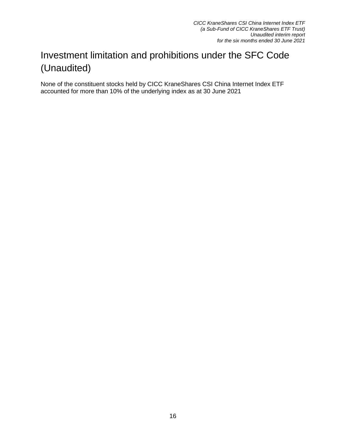# Investment limitation and prohibitions under the SFC Code (Unaudited)

None of the constituent stocks held by CICC KraneShares CSI China Internet Index ETF accounted for more than 10% of the underlying index as at 30 June 2021